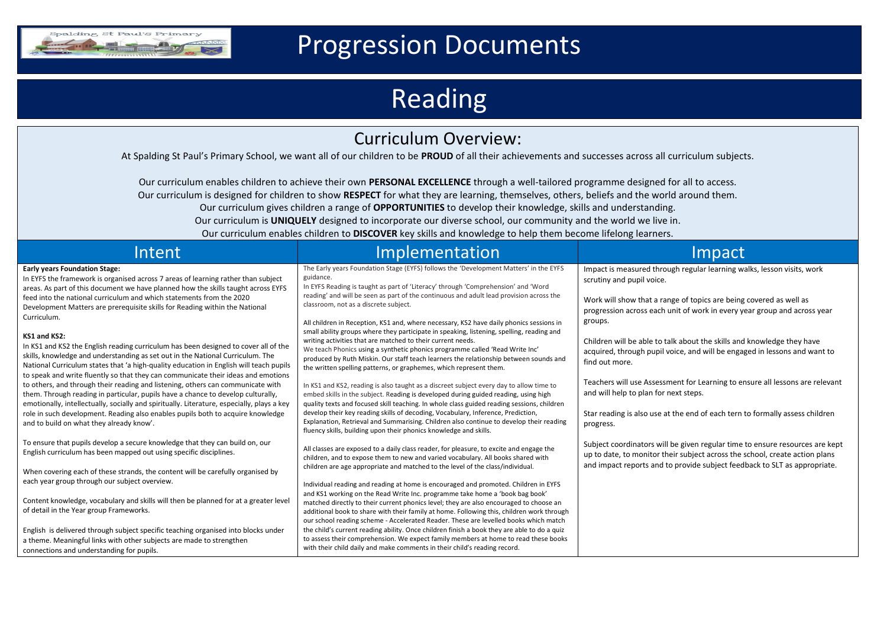

## Progression Documents

## Reading

## Curriculum Overview:

At Spalding St Paul's Primary School, we want all of our children to be **PROUD** of all their achievements and successes across all curriculum subjects.

Our curriculum enables children to achieve their own **PERSONAL EXCELLENCE** through a well-tailored programme designed for all to access.

Our curriculum is designed for children to show **RESPECT** for what they are learning, themselves, others, beliefs and the world around them.

Our curriculum gives children a range of **OPPORTUNITIES** to develop their knowledge, skills and understanding.

Our curriculum is **UNIQUELY** designed to incorporate our diverse school, our community and the world we live in.

Our curriculum enables children to **DISCOVER** key skills and knowledge to help them become lifelong learners.

| Intent                                                                                                                                                                                                                                                                                                                                                                                                                                                                                                                                                                                                                                                                                                                                                                                                                                                                                                                                                                                                                                                                                                                                                           | Implementation                                                                                                                                                                                                                                                                                                                                                                                                                                                                                                                                                                                                                                                                                                                                                                                                                                                                                                                                                                                                                                                                                                                                                                                                                                                                                                                                                        | Impact                                                                                                                                                                                                                                                                                                                                                                                                                                                                                                                                                                                                                                                          |
|------------------------------------------------------------------------------------------------------------------------------------------------------------------------------------------------------------------------------------------------------------------------------------------------------------------------------------------------------------------------------------------------------------------------------------------------------------------------------------------------------------------------------------------------------------------------------------------------------------------------------------------------------------------------------------------------------------------------------------------------------------------------------------------------------------------------------------------------------------------------------------------------------------------------------------------------------------------------------------------------------------------------------------------------------------------------------------------------------------------------------------------------------------------|-----------------------------------------------------------------------------------------------------------------------------------------------------------------------------------------------------------------------------------------------------------------------------------------------------------------------------------------------------------------------------------------------------------------------------------------------------------------------------------------------------------------------------------------------------------------------------------------------------------------------------------------------------------------------------------------------------------------------------------------------------------------------------------------------------------------------------------------------------------------------------------------------------------------------------------------------------------------------------------------------------------------------------------------------------------------------------------------------------------------------------------------------------------------------------------------------------------------------------------------------------------------------------------------------------------------------------------------------------------------------|-----------------------------------------------------------------------------------------------------------------------------------------------------------------------------------------------------------------------------------------------------------------------------------------------------------------------------------------------------------------------------------------------------------------------------------------------------------------------------------------------------------------------------------------------------------------------------------------------------------------------------------------------------------------|
| <b>Early years Foundation Stage:</b><br>In EYFS the framework is organised across 7 areas of learning rather than subject<br>areas. As part of this document we have planned how the skills taught across EYFS<br>feed into the national curriculum and which statements from the 2020<br>Development Matters are prerequisite skills for Reading within the National<br>Curriculum.<br>KS1 and KS2:<br>In KS1 and KS2 the English reading curriculum has been designed to cover all of the<br>skills, knowledge and understanding as set out in the National Curriculum. The<br>National Curriculum states that 'a high-quality education in English will teach pupils<br>to speak and write fluently so that they can communicate their ideas and emotions<br>to others, and through their reading and listening, others can communicate with<br>them. Through reading in particular, pupils have a chance to develop culturally,<br>emotionally, intellectually, socially and spiritually. Literature, especially, plays a key<br>role in such development. Reading also enables pupils both to acquire knowledge<br>and to build on what they already know'. | The Early years Foundation Stage (EYFS) follows the 'Development Matters' in the EYFS<br>guidance.<br>In EYFS Reading is taught as part of 'Literacy' through 'Comprehension' and 'Word<br>reading' and will be seen as part of the continuous and adult lead provision across the<br>classroom, not as a discrete subject.<br>All children in Reception, KS1 and, where necessary, KS2 have daily phonics sessions in<br>small ability groups where they participate in speaking, listening, spelling, reading and<br>writing activities that are matched to their current needs.<br>We teach Phonics using a synthetic phonics programme called 'Read Write Inc'<br>produced by Ruth Miskin. Our staff teach learners the relationship between sounds and<br>the written spelling patterns, or graphemes, which represent them.<br>In KS1 and KS2, reading is also taught as a discreet subject every day to allow time to<br>embed skills in the subject. Reading is developed during guided reading, using high<br>quality texts and focused skill teaching. In whole class guided reading sessions, children<br>develop their key reading skills of decoding, Vocabulary, Inference, Prediction,<br>Explanation, Retrieval and Summarising. Children also continue to develop their reading<br>fluency skills, building upon their phonics knowledge and skills. | Impact is measured through regular learning walks, lesson visits, work<br>scrutiny and pupil voice.<br>Work will show that a range of topics are being covered as well as<br>progression across each unit of work in every year group and across year<br>groups.<br>Children will be able to talk about the skills and knowledge they have<br>acquired, through pupil voice, and will be engaged in lessons and want to<br>find out more.<br>Teachers will use Assessment for Learning to ensure all lessons are relevant<br>and will help to plan for next steps.<br>Star reading is also use at the end of each tern to formally assess children<br>progress. |
| To ensure that pupils develop a secure knowledge that they can build on, our<br>English curriculum has been mapped out using specific disciplines.<br>When covering each of these strands, the content will be carefully organised by<br>each year group through our subject overview.<br>Content knowledge, vocabulary and skills will then be planned for at a greater level<br>of detail in the Year group Frameworks.<br>English is delivered through subject specific teaching organised into blocks under<br>a theme. Meaningful links with other subjects are made to strengthen<br>connections and understanding for pupils.                                                                                                                                                                                                                                                                                                                                                                                                                                                                                                                             | All classes are exposed to a daily class reader, for pleasure, to excite and engage the<br>children, and to expose them to new and varied vocabulary. All books shared with<br>children are age appropriate and matched to the level of the class/individual.<br>Individual reading and reading at home is encouraged and promoted. Children in EYFS<br>and KS1 working on the Read Write Inc. programme take home a 'book bag book'<br>matched directly to their current phonics level; they are also encouraged to choose an<br>additional book to share with their family at home. Following this, children work through<br>our school reading scheme - Accelerated Reader. These are levelled books which match<br>the child's current reading ability. Once children finish a book they are able to do a quiz<br>to assess their comprehension. We expect family members at home to read these books<br>with their child daily and make comments in their child's reading record.                                                                                                                                                                                                                                                                                                                                                                                | Subject coordinators will be given regular time to ensure resources are kept<br>up to date, to monitor their subject across the school, create action plans<br>and impact reports and to provide subject feedback to SLT as appropriate.                                                                                                                                                                                                                                                                                                                                                                                                                        |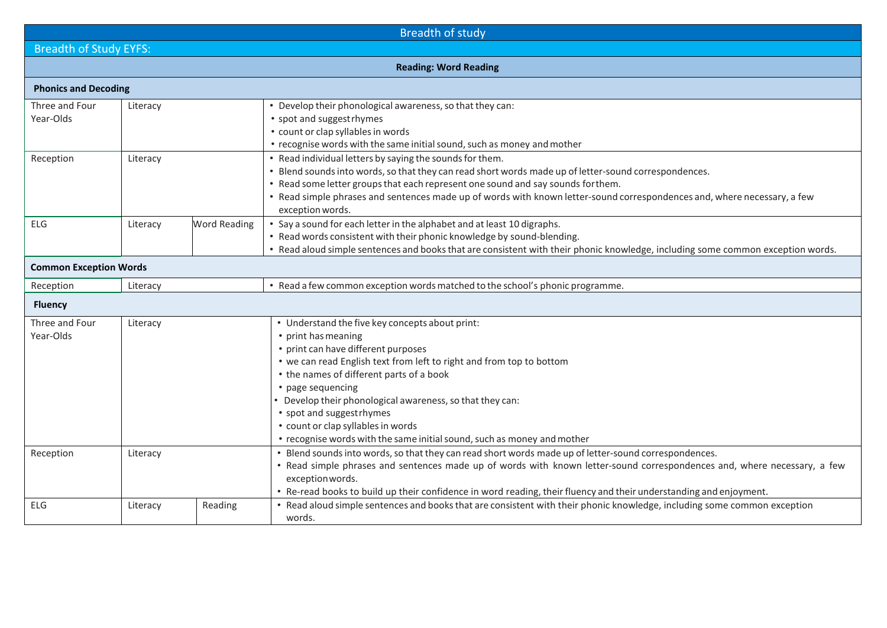| <b>Breadth of study</b>                       |                               |         |                                                                                                                                                                                                                                                                                                                                                                                                                                                                                                                                                                                                                                                                                                        |  |  |  |  |
|-----------------------------------------------|-------------------------------|---------|--------------------------------------------------------------------------------------------------------------------------------------------------------------------------------------------------------------------------------------------------------------------------------------------------------------------------------------------------------------------------------------------------------------------------------------------------------------------------------------------------------------------------------------------------------------------------------------------------------------------------------------------------------------------------------------------------------|--|--|--|--|
|                                               | <b>Breadth of Study EYFS:</b> |         |                                                                                                                                                                                                                                                                                                                                                                                                                                                                                                                                                                                                                                                                                                        |  |  |  |  |
| <b>Reading: Word Reading</b>                  |                               |         |                                                                                                                                                                                                                                                                                                                                                                                                                                                                                                                                                                                                                                                                                                        |  |  |  |  |
| <b>Phonics and Decoding</b>                   |                               |         |                                                                                                                                                                                                                                                                                                                                                                                                                                                                                                                                                                                                                                                                                                        |  |  |  |  |
| Three and Four<br>Year-Olds                   | Literacy                      |         | • Develop their phonological awareness, so that they can:<br>• spot and suggest rhymes<br>• count or clap syllables in words<br>• recognise words with the same initial sound, such as money and mother                                                                                                                                                                                                                                                                                                                                                                                                                                                                                                |  |  |  |  |
| Reception                                     | Literacy                      |         | • Read individual letters by saying the sounds for them.<br>• Blend sounds into words, so that they can read short words made up of letter-sound correspondences.<br>• Read some letter groups that each represent one sound and say sounds for them.<br>• Read simple phrases and sentences made up of words with known letter-sound correspondences and, where necessary, a few<br>exception words.                                                                                                                                                                                                                                                                                                  |  |  |  |  |
| <b>ELG</b><br><b>Word Reading</b><br>Literacy |                               |         | • Say a sound for each letter in the alphabet and at least 10 digraphs.<br>• Read words consistent with their phonic knowledge by sound-blending.<br>• Read aloud simple sentences and books that are consistent with their phonic knowledge, including some common exception words.                                                                                                                                                                                                                                                                                                                                                                                                                   |  |  |  |  |
| <b>Common Exception Words</b>                 |                               |         |                                                                                                                                                                                                                                                                                                                                                                                                                                                                                                                                                                                                                                                                                                        |  |  |  |  |
| Reception                                     | Literacy                      |         | • Read a few common exception words matched to the school's phonic programme.                                                                                                                                                                                                                                                                                                                                                                                                                                                                                                                                                                                                                          |  |  |  |  |
| <b>Fluency</b>                                |                               |         |                                                                                                                                                                                                                                                                                                                                                                                                                                                                                                                                                                                                                                                                                                        |  |  |  |  |
| Three and Four<br>Year-Olds<br>Reception      | Literacy<br>Literacy          |         | • Understand the five key concepts about print:<br>• print has meaning<br>• print can have different purposes<br>• we can read English text from left to right and from top to bottom<br>• the names of different parts of a book<br>• page sequencing<br>• Develop their phonological awareness, so that they can:<br>• spot and suggest rhymes<br>• count or clap syllables in words<br>• recognise words with the same initial sound, such as money and mother<br>. Blend sounds into words, so that they can read short words made up of letter-sound correspondences.<br>• Read simple phrases and sentences made up of words with known letter-sound correspondences and, where necessary, a few |  |  |  |  |
|                                               |                               |         | exception words.<br>• Re-read books to build up their confidence in word reading, their fluency and their understanding and enjoyment.                                                                                                                                                                                                                                                                                                                                                                                                                                                                                                                                                                 |  |  |  |  |
| ELG                                           | Literacy                      | Reading | • Read aloud simple sentences and books that are consistent with their phonic knowledge, including some common exception<br>words.                                                                                                                                                                                                                                                                                                                                                                                                                                                                                                                                                                     |  |  |  |  |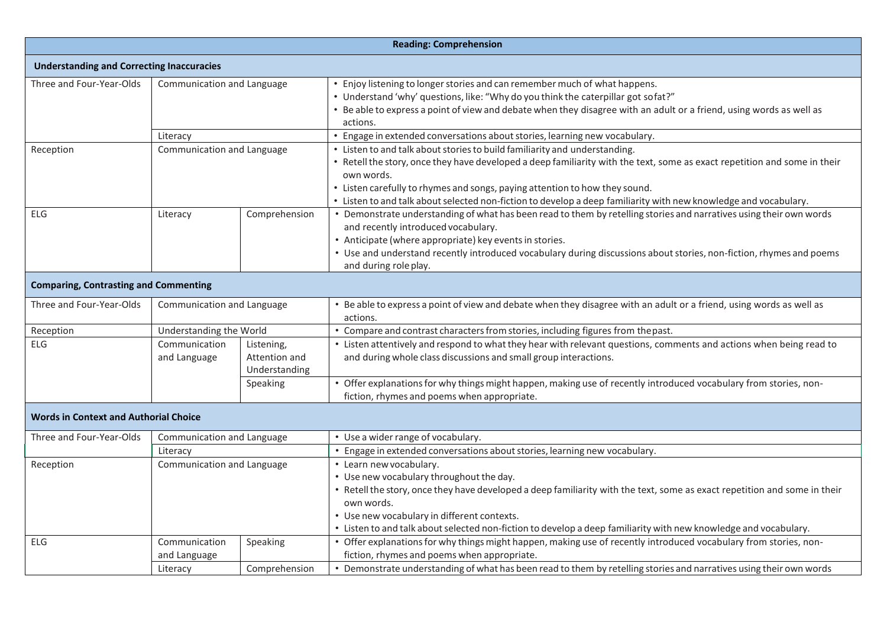|                                                  | <b>Reading: Comprehension</b>                                                                                               |                           |                                                                                                                                                                                                                                                                                                                                                                                                                          |  |  |  |
|--------------------------------------------------|-----------------------------------------------------------------------------------------------------------------------------|---------------------------|--------------------------------------------------------------------------------------------------------------------------------------------------------------------------------------------------------------------------------------------------------------------------------------------------------------------------------------------------------------------------------------------------------------------------|--|--|--|
| <b>Understanding and Correcting Inaccuracies</b> |                                                                                                                             |                           |                                                                                                                                                                                                                                                                                                                                                                                                                          |  |  |  |
| Three and Four-Year-Olds                         | Communication and Language                                                                                                  |                           | • Enjoy listening to longer stories and can remember much of what happens.<br>• Understand 'why' questions, like: "Why do you think the caterpillar got sofat?"<br>. Be able to express a point of view and debate when they disagree with an adult or a friend, using words as well as<br>actions.                                                                                                                      |  |  |  |
|                                                  | Literacy                                                                                                                    |                           | • Engage in extended conversations about stories, learning new vocabulary.                                                                                                                                                                                                                                                                                                                                               |  |  |  |
| Reception                                        | Communication and Language                                                                                                  |                           | • Listen to and talk about stories to build familiarity and understanding.<br>• Retell the story, once they have developed a deep familiarity with the text, some as exact repetition and some in their<br>own words.<br>• Listen carefully to rhymes and songs, paying attention to how they sound.<br>• Listen to and talk about selected non-fiction to develop a deep familiarity with new knowledge and vocabulary. |  |  |  |
| <b>ELG</b>                                       | Comprehension<br>Literacy<br>and recently introduced vocabulary.<br>• Anticipate (where appropriate) key events in stories. |                           | • Demonstrate understanding of what has been read to them by retelling stories and narratives using their own words<br>• Use and understand recently introduced vocabulary during discussions about stories, non-fiction, rhymes and poems<br>and during role play.                                                                                                                                                      |  |  |  |
| <b>Comparing, Contrasting and Commenting</b>     |                                                                                                                             |                           |                                                                                                                                                                                                                                                                                                                                                                                                                          |  |  |  |
| Three and Four-Year-Olds                         | Communication and Language                                                                                                  |                           | • Be able to express a point of view and debate when they disagree with an adult or a friend, using words as well as<br>actions.                                                                                                                                                                                                                                                                                         |  |  |  |
| Reception                                        | Understanding the World                                                                                                     |                           | • Compare and contrast characters from stories, including figures from the past.                                                                                                                                                                                                                                                                                                                                         |  |  |  |
| ELG                                              | Communication<br>Listening,<br>Attention and<br>and Language<br>Understanding                                               |                           | • Listen attentively and respond to what they hear with relevant questions, comments and actions when being read to<br>and during whole class discussions and small group interactions.                                                                                                                                                                                                                                  |  |  |  |
|                                                  |                                                                                                                             | Speaking                  | • Offer explanations for why things might happen, making use of recently introduced vocabulary from stories, non-<br>fiction, rhymes and poems when appropriate.                                                                                                                                                                                                                                                         |  |  |  |
| <b>Words in Context and Authorial Choice</b>     |                                                                                                                             |                           |                                                                                                                                                                                                                                                                                                                                                                                                                          |  |  |  |
| Three and Four-Year-Olds                         | Communication and Language                                                                                                  |                           | • Use a wider range of vocabulary.                                                                                                                                                                                                                                                                                                                                                                                       |  |  |  |
|                                                  | Literacy                                                                                                                    |                           | • Engage in extended conversations about stories, learning new vocabulary.                                                                                                                                                                                                                                                                                                                                               |  |  |  |
| Communication and Language<br>Reception          |                                                                                                                             |                           | • Learn new vocabulary.<br>• Use new vocabulary throughout the day.<br>• Retell the story, once they have developed a deep familiarity with the text, some as exact repetition and some in their<br>own words.<br>• Use new vocabulary in different contexts.<br>• Listen to and talk about selected non-fiction to develop a deep familiarity with new knowledge and vocabulary.                                        |  |  |  |
| <b>ELG</b>                                       | Communication<br>and Language<br>Literacy                                                                                   | Speaking<br>Comprehension | • Offer explanations for why things might happen, making use of recently introduced vocabulary from stories, non-<br>fiction, rhymes and poems when appropriate.<br>• Demonstrate understanding of what has been read to them by retelling stories and narratives using their own words                                                                                                                                  |  |  |  |
|                                                  |                                                                                                                             |                           |                                                                                                                                                                                                                                                                                                                                                                                                                          |  |  |  |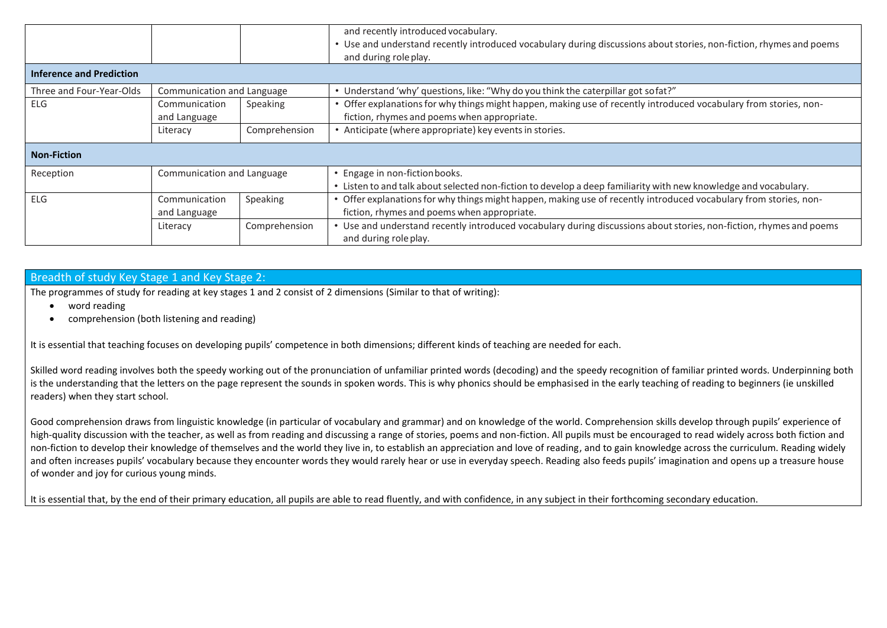|                                 |                            |               | and recently introduced vocabulary.<br>Use and understand recently introduced vocabulary during discussions about stories, non-fiction, rhymes and poems<br>and during role play. |
|---------------------------------|----------------------------|---------------|-----------------------------------------------------------------------------------------------------------------------------------------------------------------------------------|
| <b>Inference and Prediction</b> |                            |               |                                                                                                                                                                                   |
| Three and Four-Year-Olds        | Communication and Language |               | • Understand 'why' questions, like: "Why do you think the caterpillar got sofat?"                                                                                                 |
| ELG                             | Communication              | Speaking      | Offer explanations for why things might happen, making use of recently introduced vocabulary from stories, non-                                                                   |
|                                 | and Language               |               | fiction, rhymes and poems when appropriate.                                                                                                                                       |
|                                 | Literacy                   | Comprehension | Anticipate (where appropriate) key events in stories.                                                                                                                             |
| <b>Non-Fiction</b>              |                            |               |                                                                                                                                                                                   |
| Reception                       | Communication and Language |               | • Engage in non-fiction books.                                                                                                                                                    |
|                                 |                            |               | • Listen to and talk about selected non-fiction to develop a deep familiarity with new knowledge and vocabulary.                                                                  |
| ELG                             | Communication              | Speaking      | • Offer explanations for why things might happen, making use of recently introduced vocabulary from stories, non-                                                                 |
|                                 | and Language               |               | fiction, rhymes and poems when appropriate.                                                                                                                                       |
|                                 | Literacy                   | Comprehension | Use and understand recently introduced vocabulary during discussions about stories, non-fiction, rhymes and poems<br>and during role play.                                        |

## Breadth of study Key Stage 1 and Key Stage 2:

The programmes of study for reading at key stages 1 and 2 consist of 2 dimensions (Similar to that of writing):

- word reading
- comprehension (both listening and reading)

It is essential that teaching focuses on developing pupils' competence in both dimensions; different kinds of teaching are needed for each.

Skilled word reading involves both the speedy working out of the pronunciation of unfamiliar printed words (decoding) and the speedy recognition of familiar printed words. Underpinning both is the understanding that the letters on the page represent the sounds in spoken words. This is why phonics should be emphasised in the early teaching of reading to beginners (ie unskilled readers) when they start school.

Good comprehension draws from linguistic knowledge (in particular of vocabulary and grammar) and on knowledge of the world. Comprehension skills develop through pupils' experience of high-quality discussion with the teacher, as well as from reading and discussing a range of stories, poems and non-fiction. All pupils must be encouraged to read widely across both fiction and non-fiction to develop their knowledge of themselves and the world they live in, to establish an appreciation and love of reading, and to gain knowledge across the curriculum. Reading widely and often increases pupils' vocabulary because they encounter words they would rarely hear or use in everyday speech. Reading also feeds pupils' imagination and opens up a treasure house of wonder and joy for curious young minds.

It is essential that, by the end of their primary education, all pupils are able to read fluently, and with confidence, in any subject in their forthcoming secondary education.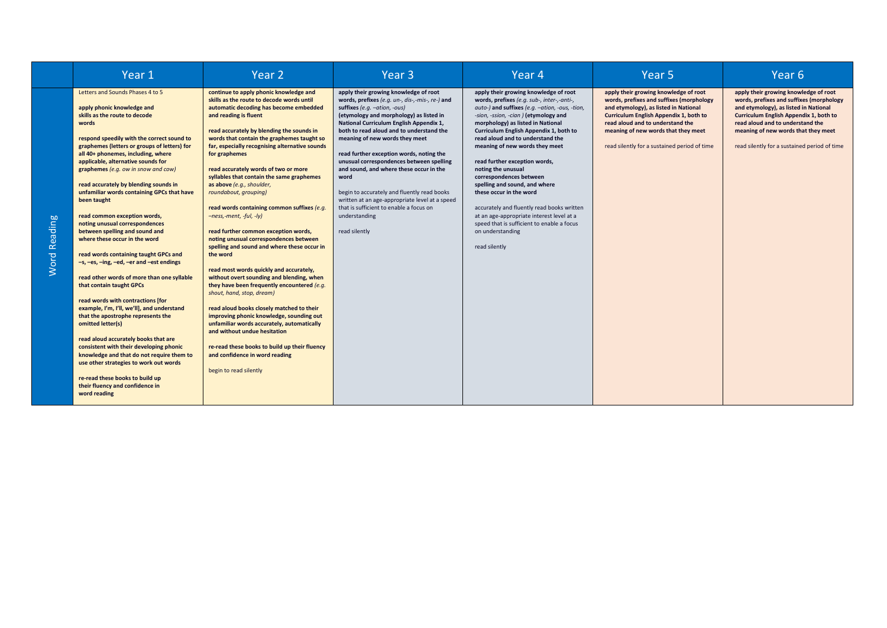|                             | Year 1                                                                                                                                                                                                                                                                                                                                                                                                                                                                                                                                                                                                                                                                                                                                                                                                                                                                                                                                                                                                                                                                                                                                            | Year <sub>2</sub>                                                                                                                                                                                                                                                                                                                                                                                                                                                                                                                                                                                                                                                                                                                                                                                                                                                                                                                                                                                                                                                                                                                                 | Year <sub>3</sub>                                                                                                                                                                                                                                                                                                                                                                                                                                                                                                                                                                                                       | Year <sub>4</sub>                                                                                                                                                                                                                                                                                                                                                                                                                                                                                                                                                                                                                                               | Year <sub>5</sub>                                                                                                                                                                                                                                                                               | Year <sub>6</sub>                                                                                                                                                                                                                                                                               |
|-----------------------------|---------------------------------------------------------------------------------------------------------------------------------------------------------------------------------------------------------------------------------------------------------------------------------------------------------------------------------------------------------------------------------------------------------------------------------------------------------------------------------------------------------------------------------------------------------------------------------------------------------------------------------------------------------------------------------------------------------------------------------------------------------------------------------------------------------------------------------------------------------------------------------------------------------------------------------------------------------------------------------------------------------------------------------------------------------------------------------------------------------------------------------------------------|---------------------------------------------------------------------------------------------------------------------------------------------------------------------------------------------------------------------------------------------------------------------------------------------------------------------------------------------------------------------------------------------------------------------------------------------------------------------------------------------------------------------------------------------------------------------------------------------------------------------------------------------------------------------------------------------------------------------------------------------------------------------------------------------------------------------------------------------------------------------------------------------------------------------------------------------------------------------------------------------------------------------------------------------------------------------------------------------------------------------------------------------------|-------------------------------------------------------------------------------------------------------------------------------------------------------------------------------------------------------------------------------------------------------------------------------------------------------------------------------------------------------------------------------------------------------------------------------------------------------------------------------------------------------------------------------------------------------------------------------------------------------------------------|-----------------------------------------------------------------------------------------------------------------------------------------------------------------------------------------------------------------------------------------------------------------------------------------------------------------------------------------------------------------------------------------------------------------------------------------------------------------------------------------------------------------------------------------------------------------------------------------------------------------------------------------------------------------|-------------------------------------------------------------------------------------------------------------------------------------------------------------------------------------------------------------------------------------------------------------------------------------------------|-------------------------------------------------------------------------------------------------------------------------------------------------------------------------------------------------------------------------------------------------------------------------------------------------|
| ding<br>eā<br>œ<br>ord<br>Š | Letters and Sounds Phases 4 to 5<br>apply phonic knowledge and<br>skills as the route to decode<br>words<br>respond speedily with the correct sound to<br>graphemes (letters or groups of letters) for<br>all 40+ phonemes, including, where<br>applicable, alternative sounds for<br>graphemes (e.g. ow in snow and cow)<br>read accurately by blending sounds in<br>unfamiliar words containing GPCs that have<br>been taught<br>read common exception words,<br>noting unusual correspondences<br>between spelling and sound and<br>where these occur in the word<br>read words containing taught GPCs and<br>-s, -es, -ing, -ed, -er and -est endings<br>read other words of more than one syllable<br>that contain taught GPCs<br>read words with contractions [for<br>example, I'm, I'll, we'll], and understand<br>that the apostrophe represents the<br>omitted letter(s)<br>read aloud accurately books that are<br>consistent with their developing phonic<br>knowledge and that do not require them to<br>use other strategies to work out words<br>re-read these books to build up<br>their fluency and confidence in<br>word reading | continue to apply phonic knowledge and<br>skills as the route to decode words until<br>automatic decoding has become embedded<br>and reading is fluent<br>read accurately by blending the sounds in<br>words that contain the graphemes taught so<br>far, especially recognising alternative sounds<br>for graphemes<br>read accurately words of two or more<br>syllables that contain the same graphemes<br>as above (e.g., shoulder,<br>roundabout, grouping)<br>read words containing common suffixes (e.g.<br>$-ness$ ,-ment, -ful, -ly)<br>read further common exception words,<br>noting unusual correspondences between<br>spelling and sound and where these occur in<br>the word<br>read most words quickly and accurately,<br>without overt sounding and blending, when<br>they have been frequently encountered (e.g.<br>shout, hand, stop, dream)<br>read aloud books closely matched to their<br>improving phonic knowledge, sounding out<br>unfamiliar words accurately, automatically<br>and without undue hesitation<br>re-read these books to build up their fluency<br>and confidence in word reading<br>begin to read silently | apply their growing knowledge of root<br>words, prefixes (e.g. un-, dis-,-mis-, re-) and<br>suffixes $(e.a. -ation, -ous)$<br>(etymology and morphology) as listed in<br>National Curriculum English Appendix 1,<br>both to read aloud and to understand the<br>meaning of new words they meet<br>read further exception words, noting the<br>unusual correspondences between spelling<br>and sound, and where these occur in the<br>word<br>begin to accurately and fluently read books<br>written at an age-appropriate level at a speed<br>that is sufficient to enable a focus on<br>understanding<br>read silently | apply their growing knowledge of root<br>words, prefixes (e.g. sub-, inter-,-anti-,<br>auto-) and suffixes (e.g. -ation, -ous, -tion,<br>-sion, -ssion, -cian ) (etymology and<br>morphology) as listed in National<br>Curriculum English Appendix 1, both to<br>read aloud and to understand the<br>meaning of new words they meet<br>read further exception words,<br>noting the unusual<br>correspondences between<br>spelling and sound, and where<br>these occur in the word<br>accurately and fluently read books written<br>at an age-appropriate interest level at a<br>speed that is sufficient to enable a focus<br>on understanding<br>read silently | apply their growing knowledge of root<br>words, prefixes and suffixes (morphology<br>and etymology), as listed in National<br>Curriculum English Appendix 1, both to<br>read aloud and to understand the<br>meaning of new words that they meet<br>read silently for a sustained period of time | apply their growing knowledge of root<br>words, prefixes and suffixes (morphology<br>and etymology), as listed in National<br>Curriculum English Appendix 1, both to<br>read aloud and to understand the<br>meaning of new words that they meet<br>read silently for a sustained period of time |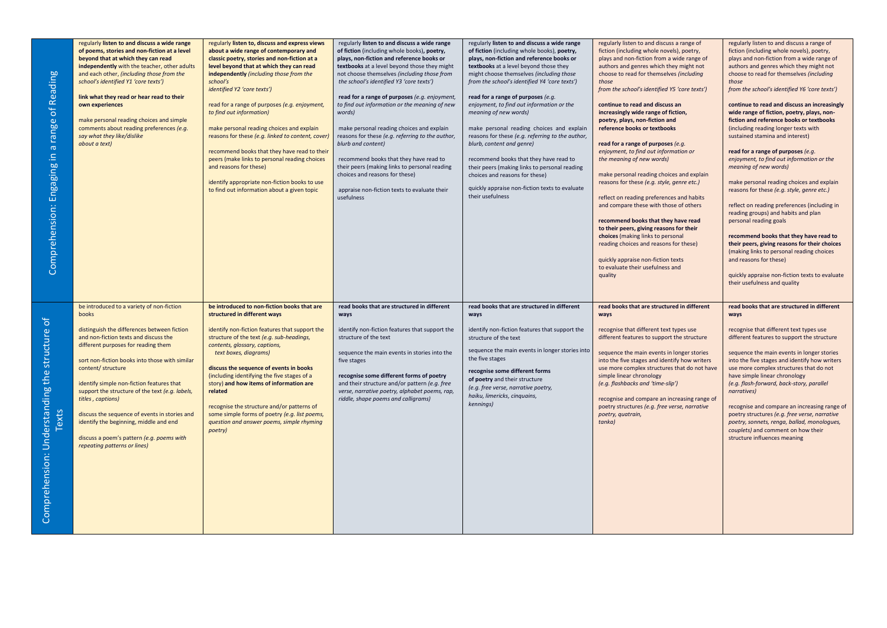| Reading<br>Comprehension: Engaging in a range of           | regularly listen to and discuss a wide range<br>of poems, stories and non-fiction at a level<br>beyond that at which they can read<br>independently with the teacher, other adults<br>and each other, (including those from the<br>school's identified Y1 'core texts')<br>link what they read or hear read to their<br>own experiences<br>make personal reading choices and simple<br>comments about reading preferences (e.g.<br>say what they like/dislike<br>about a text)                                                                         | regularly listen to, discuss and express views<br>about a wide range of contemporary and<br>classic poetry, stories and non-fiction at a<br>level beyond that at which they can read<br>independently (including those from the<br>school's<br>identified Y2 'core texts')<br>read for a range of purposes (e.g. enjoyment,<br>to find out information)<br>make personal reading choices and explain<br>reasons for these (e.g. linked to content, cover,<br>recommend books that they have read to their<br>peers (make links to personal reading choices<br>and reasons for these)<br>identify appropriate non-fiction books to use<br>to find out information about a given topic | regularly listen to and discuss a wide range<br>of fiction (including whole books), poetry,<br>plays, non-fiction and reference books or<br>textbooks at a level beyond those they might<br>not choose themselves (including those from<br>the school's identified Y3 'core texts')<br>read for a range of purposes (e.g. enjoyment,<br>to find out information or the meaning of new<br>words)<br>make personal reading choices and explain<br>reasons for these (e.g. referring to the author,<br>blurb and content)<br>recommend books that they have read to<br>their peers (making links to personal reading<br>choices and reasons for these)<br>appraise non-fiction texts to evaluate their<br>usefulness | regularly listen to and discuss a wide range<br>of fiction (including whole books), poetry,<br>plays, non-fiction and reference books or<br>textbooks at a level beyond those they<br>might choose themselves (including those<br>from the school's identified Y4 'core texts')<br>read for a range of purposes (e.g.<br>enjoyment, to find out information or the<br>meaning of new words)<br>make personal reading choices and explain<br>reasons for these (e.g. referring to the author,<br>blurb, content and genre)<br>recommend books that they have read to<br>their peers (making links to personal reading<br>choices and reasons for these)<br>quickly appraise non-fiction texts to evaluate<br>their usefulness | regularly listen to and discuss a range of<br>fiction (including whole novels), poetry,<br>plays and non-fiction from a wide range of<br>authors and genres which they might not<br>choose to read for themselves (including<br>those<br>from the school's identified Y5 'core texts')<br>continue to read and discuss an<br>increasingly wide range of fiction,<br>poetry, plays, non-fiction and<br>reference books or textbooks<br>read for a range of purposes (e.g.<br>enjoyment, to find out information or<br>the meaning of new words)<br>make personal reading choices and explain<br>reasons for these (e.g. style, genre etc.)<br>reflect on reading preferences and habits<br>and compare these with those of others<br>recommend books that they have read<br>to their peers, giving reasons for their<br>choices (making links to personal<br>reading choices and reasons for these)<br>quickly appraise non-fiction texts<br>to evaluate their usefulness and<br>quality | regularly listen to and discuss a range of<br>fiction (including whole novels), poetry,<br>plays and non-fiction from a wide range of<br>authors and genres which they might not<br>choose to read for themselves (including<br>those<br>from the school's identified Y6 'core texts')<br>continue to read and discuss an increasingly<br>wide range of fiction, poetry, plays, non-<br>fiction and reference books or textbooks<br>(including reading longer texts with<br>sustained stamina and interest)<br>read for a range of purposes (e.g.<br>enjoyment, to find out information or the<br>meaning of new words)<br>make personal reading choices and explain<br>reasons for these (e.g. style, genre etc.)<br>reflect on reading preferences (including in<br>reading groups) and habits and plan<br>personal reading goals<br>recommend books that they have read to<br>their peers, giving reasons for their choices<br>(making links to personal reading choices<br>and reasons for these)<br>quickly appraise non-fiction texts to evaluate<br>their usefulness and quality |
|------------------------------------------------------------|--------------------------------------------------------------------------------------------------------------------------------------------------------------------------------------------------------------------------------------------------------------------------------------------------------------------------------------------------------------------------------------------------------------------------------------------------------------------------------------------------------------------------------------------------------|--------------------------------------------------------------------------------------------------------------------------------------------------------------------------------------------------------------------------------------------------------------------------------------------------------------------------------------------------------------------------------------------------------------------------------------------------------------------------------------------------------------------------------------------------------------------------------------------------------------------------------------------------------------------------------------|-------------------------------------------------------------------------------------------------------------------------------------------------------------------------------------------------------------------------------------------------------------------------------------------------------------------------------------------------------------------------------------------------------------------------------------------------------------------------------------------------------------------------------------------------------------------------------------------------------------------------------------------------------------------------------------------------------------------|------------------------------------------------------------------------------------------------------------------------------------------------------------------------------------------------------------------------------------------------------------------------------------------------------------------------------------------------------------------------------------------------------------------------------------------------------------------------------------------------------------------------------------------------------------------------------------------------------------------------------------------------------------------------------------------------------------------------------|-----------------------------------------------------------------------------------------------------------------------------------------------------------------------------------------------------------------------------------------------------------------------------------------------------------------------------------------------------------------------------------------------------------------------------------------------------------------------------------------------------------------------------------------------------------------------------------------------------------------------------------------------------------------------------------------------------------------------------------------------------------------------------------------------------------------------------------------------------------------------------------------------------------------------------------------------------------------------------------------|-----------------------------------------------------------------------------------------------------------------------------------------------------------------------------------------------------------------------------------------------------------------------------------------------------------------------------------------------------------------------------------------------------------------------------------------------------------------------------------------------------------------------------------------------------------------------------------------------------------------------------------------------------------------------------------------------------------------------------------------------------------------------------------------------------------------------------------------------------------------------------------------------------------------------------------------------------------------------------------------------------------------------------------------------------------------------------------------|
| sranding the structure of<br>Texts<br>Comprenension: Under | be introduced to a variety of non-fiction<br>books<br>distinguish the differences between fiction<br>and non-fiction texts and discuss the<br>different purposes for reading them<br>sort non-fiction books into those with similar<br>content/ structure<br>identify simple non-fiction features that<br>support the structure of the text (e.g. labels,<br>titles, captions)<br>discuss the sequence of events in stories and<br>identify the beginning, middle and end<br>discuss a poem's pattern (e.g. poems with<br>repeating patterns or lines) | be introduced to non-fiction books that are<br>structured in different ways<br>identify non-fiction features that support the<br>structure of the text (e.g. sub-headings,<br>contents, glossary, captions,<br>text boxes, diagrams)<br>discuss the sequence of events in books<br>(including identifying the five stages of a<br>story) and how items of information are<br>related<br>recognise the structure and/or patterns of<br>some simple forms of poetry (e.g. list poems,<br>question and answer poems, simple rhyming<br>poetry)                                                                                                                                          | read books that are structured in different<br>ways<br>identify non-fiction features that support the<br>structure of the text<br>sequence the main events in stories into the<br>five stages<br>recognise some different forms of poetry<br>and their structure and/or pattern (e.g. free<br>verse, narrative poetry, alphabet poems, rap,<br>riddle, shape poems and calligrams)                                                                                                                                                                                                                                                                                                                                | read books that are structured in different<br>ways<br>identify non-fiction features that support the<br>structure of the text<br>sequence the main events in longer stories into<br>the five stages<br>recognise some different forms<br>of poetry and their structure<br>(e.g. free verse, narrative poetry,<br>haiku, limericks, cinquains,<br>kennings)                                                                                                                                                                                                                                                                                                                                                                  | read books that are structured in different<br>ways<br>recognise that different text types use<br>different features to support the structure<br>sequence the main events in longer stories<br>into the five stages and identify how writers<br>use more complex structures that do not have<br>simple linear chronology<br>(e.g. flashbacks and 'time-slip')<br>recognise and compare an increasing range of<br>poetry structures (e.g. free verse, narrative<br>poetry, quatrain,<br>tanka)                                                                                                                                                                                                                                                                                                                                                                                                                                                                                           | read books that are structured in different<br>ways<br>recognise that different text types use<br>different features to support the structure<br>sequence the main events in longer stories<br>into the five stages and identify how writers<br>use more complex structures that do not<br>have simple linear chronology<br>(e.g. flash-forward, back-story, parallel<br>narratives)<br>recognise and compare an increasing range of<br>poetry structures (e.g. free verse, narrative<br>poetry, sonnets, renga, ballad, monologues,<br>couplets) and comment on how their<br>structure influences meaning                                                                                                                                                                                                                                                                                                                                                                                                                                                                              |

Comprehension: Understanding the structure of

Comprehension: Understanding the structure of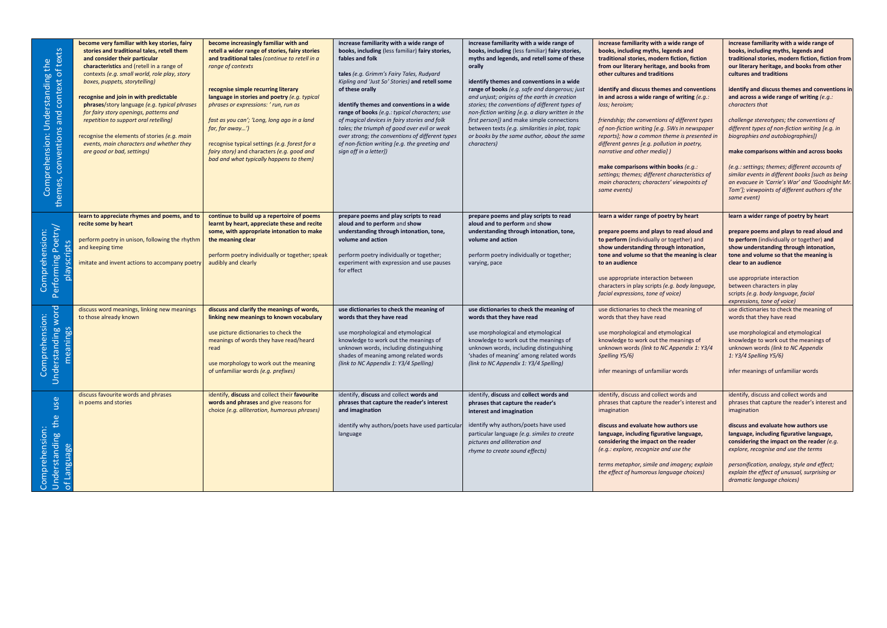| context of texts<br>Comprehension: Understanding the<br>and<br>conventions<br>emes,<br>좀 | become very familiar with key stories, fairy<br>stories and traditional tales, retell them<br>and consider their particular<br>characteristics and (retell in a range of<br>contexts (e.g. small world, role play, story<br>boxes, puppets, storytelling)<br>recognise and join in with predictable<br>phrases/story language (e.g. typical phrases<br>for fairy story openings, patterns and<br>repetition to support oral retelling)<br>recognise the elements of stories (e.g. main<br>events, main characters and whether they<br>are good or bad, settings) | become increasingly familiar with and<br>retell a wider range of stories, fairy stories<br>and traditional tales (continue to retell in a<br>range of contexts<br>recognise simple recurring literary<br>language in stories and poetry (e.g. typical<br>phrases or expressions: ' run, run as<br>fast as you can'; 'Long, long ago in a land<br>far, far away')<br>recognise typical settings (e.g. forest for a<br>fairy story) and characters (e.g. good and<br>bad and what typically happens to them) | increase familiarity with a wide range of<br>books, including (less familiar) fairy stories,<br>fables and folk<br>tales (e.g. Grimm's Fairy Tales, Rudyard<br>Kipling and 'Just So' Stories) and retell some<br>of these orally<br>identify themes and conventions in a wide<br>range of books (e.g.: typical characters; use<br>of magical devices in fairy stories and folk<br>tales; the triumph of good over evil or weak<br>over strong; the conventions of different types<br>of non-fiction writing [e.g. the greeting and<br>sign off in a letter]) | increase familiarity with a wide range of<br>books, including (less familiar) fairy stories,<br>myths and legends, and retell some of these<br>orally<br>identify themes and conventions in a wide<br>range of books (e.g. safe and dangerous; just<br>and unjust; origins of the earth in creation<br>stories; the conventions of different types of<br>non-fiction writing [e.g. a diary written in the<br>first person]) and make simple connections<br>between texts (e.g. similarities in plot, topic<br>or books by the same author, about the same<br>characters) | increase familiarity with a wide range of<br>books, including myths, legends and<br>traditional stories, modern fiction, fiction<br>from our literary heritage, and books from<br>other cultures and traditions<br>identify and discuss themes and conventions<br>in and across a wide range of writing $(e.g.:$<br>loss; heroism;<br>friendship; the conventions of different types<br>of non-fiction writing [e.g. 5Ws in newspaper<br>reports]; how a common theme is presented in<br>different genres [e.g. pollution in poetry,<br>narrative and other media])<br>make comparisons within books (e.g.:<br>settings; themes; different characteristics of<br>main characters; characters' viewpoints of<br>same events) | increase familiarity with a wide range of<br>books, including myths, legends and<br>traditional stories, modern fiction, fiction from<br>our literary heritage, and books from other<br>cultures and traditions<br>identify and discuss themes and conventions in<br>and across a wide range of writing (e.g.:<br>characters that<br>challenge stereotypes; the conventions of<br>different types of non-fiction writing [e.g. in<br>biographies and autobiographies])<br>make comparisons within and across books<br>(e.g.: settings; themes; different accounts of<br>similar events in different books [such as being<br>an evacuee in 'Carrie's War' and 'Goodnight Mr<br>Tom']; viewpoints of different authors of the<br>same event) |
|------------------------------------------------------------------------------------------|------------------------------------------------------------------------------------------------------------------------------------------------------------------------------------------------------------------------------------------------------------------------------------------------------------------------------------------------------------------------------------------------------------------------------------------------------------------------------------------------------------------------------------------------------------------|------------------------------------------------------------------------------------------------------------------------------------------------------------------------------------------------------------------------------------------------------------------------------------------------------------------------------------------------------------------------------------------------------------------------------------------------------------------------------------------------------------|--------------------------------------------------------------------------------------------------------------------------------------------------------------------------------------------------------------------------------------------------------------------------------------------------------------------------------------------------------------------------------------------------------------------------------------------------------------------------------------------------------------------------------------------------------------|--------------------------------------------------------------------------------------------------------------------------------------------------------------------------------------------------------------------------------------------------------------------------------------------------------------------------------------------------------------------------------------------------------------------------------------------------------------------------------------------------------------------------------------------------------------------------|-----------------------------------------------------------------------------------------------------------------------------------------------------------------------------------------------------------------------------------------------------------------------------------------------------------------------------------------------------------------------------------------------------------------------------------------------------------------------------------------------------------------------------------------------------------------------------------------------------------------------------------------------------------------------------------------------------------------------------|--------------------------------------------------------------------------------------------------------------------------------------------------------------------------------------------------------------------------------------------------------------------------------------------------------------------------------------------------------------------------------------------------------------------------------------------------------------------------------------------------------------------------------------------------------------------------------------------------------------------------------------------------------------------------------------------------------------------------------------------|
| Performing Poetry/<br>Comprehension:<br>playscripts                                      | learn to appreciate rhymes and poems, and to<br>recite some by heart<br>perform poetry in unison, following the rhythm<br>and keeping time<br>imitate and invent actions to accompany poetry                                                                                                                                                                                                                                                                                                                                                                     | continue to build up a repertoire of poems<br>learnt by heart, appreciate these and recite<br>some, with appropriate intonation to make<br>the meaning clear<br>perform poetry individually or together; speak<br>audibly and clearly                                                                                                                                                                                                                                                                      | prepare poems and play scripts to read<br>aloud and to perform and show<br>understanding through intonation, tone,<br>volume and action<br>perform poetry individually or together;<br>experiment with expression and use pauses<br>for effect                                                                                                                                                                                                                                                                                                               | prepare poems and play scripts to read<br>aloud and to perform and show<br>understanding through intonation, tone,<br>volume and action<br>perform poetry individually or together;<br>varying, pace                                                                                                                                                                                                                                                                                                                                                                     | learn a wider range of poetry by heart<br>prepare poems and plays to read aloud and<br>to perform (individually or together) and<br>show understanding through intonation,<br>tone and volume so that the meaning is clear<br>to an audience<br>use appropriate interaction between<br>characters in play scripts (e.g. body language,<br>facial expressions, tone of voice)                                                                                                                                                                                                                                                                                                                                                | learn a wider range of poetry by heart<br>prepare poems and plays to read aloud and<br>to perform (individually or together) and<br>show understanding through intonation,<br>tone and volume so that the meaning is<br>clear to an audience<br>use appropriate interaction<br>between characters in play<br>scripts (e.g. body language, facial<br>expressions, tone of voice)                                                                                                                                                                                                                                                                                                                                                            |
| Understanding word<br>Comprehension:<br>meanings                                         | discuss word meanings, linking new meanings<br>to those already known                                                                                                                                                                                                                                                                                                                                                                                                                                                                                            | discuss and clarify the meanings of words,<br>linking new meanings to known vocabulary<br>use picture dictionaries to check the<br>meanings of words they have read/heard<br>read<br>use morphology to work out the meaning<br>of unfamiliar words (e.g. prefixes)                                                                                                                                                                                                                                         | use dictionaries to check the meaning of<br>words that they have read<br>use morphological and etymological<br>knowledge to work out the meanings of<br>unknown words, including distinguishing<br>shades of meaning among related words<br>(link to NC Appendix 1: Y3/4 Spelling)                                                                                                                                                                                                                                                                           | use dictionaries to check the meaning of<br>words that they have read<br>use morphological and etymological<br>knowledge to work out the meanings of<br>unknown words, including distinguishing<br>'shades of meaning' among related words<br>(link to NC Appendix 1: Y3/4 Spelling)                                                                                                                                                                                                                                                                                     | use dictionaries to check the meaning of<br>words that they have read<br>use morphological and etymological<br>knowledge to work out the meanings of<br>unknown words (link to NC Appendix 1: Y3/4<br>Spelling Y5/6)<br>infer meanings of unfamiliar words                                                                                                                                                                                                                                                                                                                                                                                                                                                                  | use dictionaries to check the meaning of<br>words that they have read<br>use morphological and etymological<br>knowledge to work out the meanings of<br>unknown words (link to NC Appendix<br>1: Y3/4 Spelling Y5/6)<br>infer meanings of unfamiliar words                                                                                                                                                                                                                                                                                                                                                                                                                                                                                 |
| use<br>Comprehension:<br>Understanding the<br>Language<br>$\overline{\sigma}$            | discuss favourite words and phrases<br>in poems and stories                                                                                                                                                                                                                                                                                                                                                                                                                                                                                                      | identify, discuss and collect their favourite<br>words and phrases and give reasons for<br>choice (e.g. alliteration, humorous phrases)                                                                                                                                                                                                                                                                                                                                                                    | identify, discuss and collect words and<br>phrases that capture the reader's interest<br>and imagination<br>identify why authors/poets have used particular<br>language                                                                                                                                                                                                                                                                                                                                                                                      | identify, discuss and collect words and<br>phrases that capture the reader's<br>interest and imagination<br>identify why authors/poets have used<br>particular language (e.g. similes to create<br>pictures and alliteration and<br>rhyme to create sound effects)                                                                                                                                                                                                                                                                                                       | identify, discuss and collect words and<br>phrases that capture the reader's interest and<br>imagination<br>discuss and evaluate how authors use<br>language, including figurative language,<br>considering the impact on the reader<br>(e.g.: explore, recognize and use the<br>terms metaphor, simile and imagery; explain<br>the effect of humorous language choices)                                                                                                                                                                                                                                                                                                                                                    | identify, discuss and collect words and<br>phrases that capture the reader's interest and<br>imagination<br>discuss and evaluate how authors use<br>language, including figurative language,<br>considering the impact on the reader (e.g.<br>explore, recognise and use the terms<br>personification, analogy, style and effect;<br>explain the effect of unusual, surprising or<br>dramatic language choices)                                                                                                                                                                                                                                                                                                                            |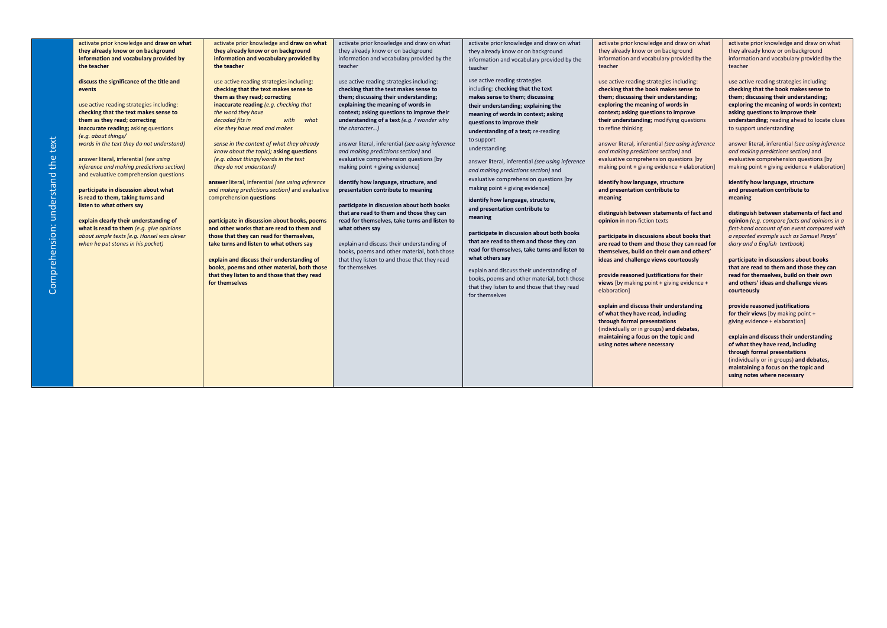| activate prior knowledge and draw on what  | activate prior knowledge and draw on what                                                 | activate prior knowledge and draw on what                      | activate prior knowledge and draw on what                                              | activate prior knowledge and draw on what        | activate prior knowledge and draw on what                                          |
|--------------------------------------------|-------------------------------------------------------------------------------------------|----------------------------------------------------------------|----------------------------------------------------------------------------------------|--------------------------------------------------|------------------------------------------------------------------------------------|
| they already know or on background         | they already know or on background                                                        | they already know or on background                             | they already know or on background                                                     | they already know or on background               | they already know or on background                                                 |
| information and vocabulary provided by     | information and vocabulary provided by                                                    | information and vocabulary provided by the                     | information and vocabulary provided by the                                             | information and vocabulary provided by the       | information and vocabulary provided by the                                         |
| the teacher                                | the teacher                                                                               | teacher                                                        | teacher                                                                                | teacher                                          | teacher                                                                            |
| discuss the significance of the title and  | use active reading strategies including:                                                  | use active reading strategies including:                       | use active reading strategies                                                          | use active reading strategies including:         | use active reading strategies including:                                           |
| events                                     | checking that the text makes sense to                                                     | checking that the text makes sense to                          | including: checking that the text                                                      | checking that the book makes sense to            | checking that the book makes sense to                                              |
|                                            | them as they read; correcting                                                             | them; discussing their understanding;                          | makes sense to them; discussing                                                        | them; discussing their understanding;            | them; discussing their understanding;                                              |
| use active reading strategies including:   | inaccurate reading (e.g. checking that                                                    | explaining the meaning of words in                             | their understanding; explaining the                                                    | exploring the meaning of words in                | exploring the meaning of words in context;                                         |
| checking that the text makes sense to      | the word they have                                                                        | context; asking questions to improve their                     | meaning of words in context; asking                                                    | context; asking questions to improve             | asking questions to improve their                                                  |
| them as they read; correcting              | decoded fits in<br>with<br>what                                                           | understanding of a text (e.g. I wonder why                     | questions to improve their                                                             | their understanding; modifying questions         | understanding; reading ahead to locate clues                                       |
| inaccurate reading; asking questions       | else they have read and makes                                                             | the character)                                                 | understanding of a text; re-reading                                                    | to refine thinking                               | to support understanding                                                           |
| (e.g. about things/                        |                                                                                           |                                                                | to support                                                                             |                                                  |                                                                                    |
| words in the text they do not understand)  | sense in the context of what they already                                                 | answer literal, inferential (see using inference               | understanding                                                                          | answer literal, inferential (see using inference | answer literal, inferential (see using inference                                   |
|                                            | know about the topic); asking questions                                                   | and making predictions section) and                            |                                                                                        | and making predictions section) and              | and making predictions section) and                                                |
| answer literal, inferential (see using     | (e.g. about things/words in the text                                                      | evaluative comprehension questions [by                         | answer literal, inferential (see using inference                                       | evaluative comprehension questions [by           | evaluative comprehension questions [by                                             |
| inference and making predictions section)  | they do not understand)                                                                   | making point + giving evidence]                                | and making predictions section) and                                                    | making point + giving evidence + elaboration]    | making point + giving evidence + elaboration]                                      |
| and evaluative comprehension questions     | answer literal, inferential (see using inference                                          | identify how language, structure, and                          | evaluative comprehension questions [by                                                 | identify how language, structure                 | identify how language, structure                                                   |
| participate in discussion about what       | and making predictions section) and evaluative                                            | presentation contribute to meaning                             | making point + giving evidence]                                                        | and presentation contribute to                   | and presentation contribute to                                                     |
| is read to them, taking turns and          | comprehension questions                                                                   |                                                                |                                                                                        | meaning                                          | meaning                                                                            |
| listen to what others say                  |                                                                                           | participate in discussion about both books                     | identify how language, structure,                                                      |                                                  |                                                                                    |
|                                            |                                                                                           | that are read to them and those they can                       | and presentation contribute to                                                         | distinguish between statements of fact and       | distinguish between statements of fact and                                         |
| explain clearly their understanding of     | participate in discussion about books, poems                                              | read for themselves, take turns and listen to                  | meaning                                                                                | opinion in non-fiction texts                     | opinion (e.g. compare facts and opinions in a                                      |
| what is read to them (e.g. give opinions   | and other works that are read to them and                                                 | what others say                                                |                                                                                        |                                                  | first-hand account of an event compared with                                       |
| about simple texts [e.g. Hansel was clever | those that they can read for themselves,                                                  |                                                                | participate in discussion about both books<br>that are read to them and those they can | participate in discussions about books that      | a reported example such as Samuel Pepys'                                           |
| when he put stones in his pocket)          | take turns and listen to what others say                                                  | explain and discuss their understanding of                     | read for themselves, take turns and listen to                                          | are read to them and those they can read for     | diary and a English textbook)                                                      |
|                                            |                                                                                           | books, poems and other material, both those                    | what others say                                                                        | themselves, build on their own and others'       |                                                                                    |
|                                            | explain and discuss their understanding of<br>books, poems and other material, both those | that they listen to and those that they read<br>for themselves |                                                                                        | ideas and challenge views courteously            | participate in discussions about books<br>that are read to them and those they can |
|                                            | that they listen to and those that they read                                              |                                                                | explain and discuss their understanding of                                             | provide reasoned justifications for their        | read for themselves, build on their own                                            |
|                                            | for themselves                                                                            |                                                                | books, poems and other material, both those                                            | views [by making point + giving evidence +       | and others' ideas and challenge views                                              |
|                                            |                                                                                           |                                                                | that they listen to and those that they read                                           | elaboration]                                     | courteously                                                                        |
|                                            |                                                                                           |                                                                | for themselves                                                                         |                                                  |                                                                                    |
|                                            |                                                                                           |                                                                |                                                                                        | explain and discuss their understanding          | provide reasoned justifications                                                    |
|                                            |                                                                                           |                                                                |                                                                                        | of what they have read, including                | for their views [by making point +                                                 |
|                                            |                                                                                           |                                                                |                                                                                        | through formal presentations                     | giving evidence + elaboration]                                                     |
|                                            |                                                                                           |                                                                |                                                                                        | (individually or in groups) and debates,         |                                                                                    |
|                                            |                                                                                           |                                                                |                                                                                        | maintaining a focus on the topic and             | explain and discuss their understanding                                            |
|                                            |                                                                                           |                                                                |                                                                                        | using notes where necessary                      | of what they have read, including<br>through formal presentations                  |
|                                            |                                                                                           |                                                                |                                                                                        |                                                  | (individually or in groups) and debates,                                           |
|                                            |                                                                                           |                                                                |                                                                                        |                                                  | maintaining a focus on the topic and                                               |
|                                            |                                                                                           |                                                                |                                                                                        |                                                  | using notes where necessary                                                        |
|                                            |                                                                                           |                                                                |                                                                                        |                                                  |                                                                                    |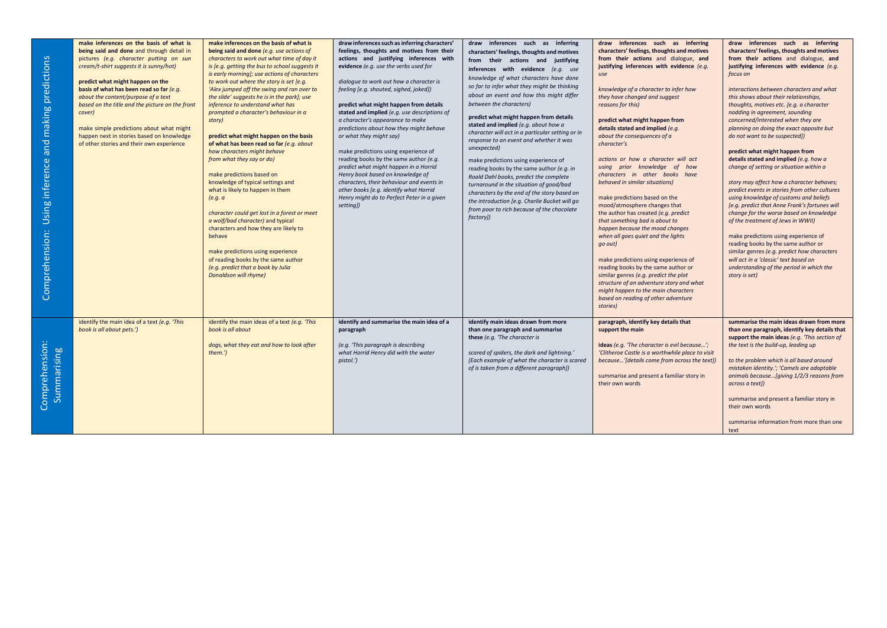| predictions<br>and making<br>Using inference<br>Comprehension: | make inferences on the basis of what is<br>being said and done and through detail in<br>pictures (e.g. character putting on sun<br>cream/t-shirt suggests it is sunny/hot)<br>predict what might happen on the<br>basis of what has been read so far (e.g.<br>about the content/purpose of a text<br>based on the title and the picture on the front<br>cover)<br>make simple predictions about what might<br>happen next in stories based on knowledge<br>of other stories and their own experience | make inferences on the basis of what is<br>being said and done (e.g. use actions of<br>characters to work out what time of day it<br>is [e.g. getting the bus to school suggests it<br>is early morning]; use actions of characters<br>to work out where the story is set [e.g.<br>'Alex jumped off the swing and ran over to<br>the slide' suggests he is in the park]; use<br>inference to understand what has<br>prompted a character's behaviour in a<br>story)<br>predict what might happen on the basis<br>of what has been read so far (e.g. about<br>how characters might behave<br>from what they say or do)<br>make predictions based on<br>knowledge of typical settings and<br>what is likely to happen in them<br>(e.g. a<br>character could get lost in a forest or meet<br>a wolf/bad character) and typical<br>characters and how they are likely to<br>behave<br>make predictions using experience<br>of reading books by the same author<br>(e.g. predict that a book by Julia<br>Donaldson will rhyme) | draw inferences such as inferring characters'<br>feelings, thoughts and motives from their<br>actions and justifying inferences with<br>evidence (e.g. use the verbs used for<br>dialogue to work out how a character is<br>feeling [e.g. shouted, sighed, joked])<br>predict what might happen from details<br>stated and implied (e.g. use descriptions of<br>a character's appearance to make<br>predictions about how they might behave<br>or what they might say)<br>make predictions using experience of<br>reading books by the same author (e.g.<br>predict what might happen in a Horrid<br>Henry book based on knowledge of<br>characters, their behaviour and events in<br>other books [e.g. identify what Horrid<br>Henry might do to Perfect Peter in a given<br>setting]) | draw inferences such as inferring<br>characters' feelings, thoughts and motives<br>from their actions and justifying<br>inferences with evidence (e.g. use<br>knowledge of what characters have done<br>so far to infer what they might be thinking<br>about an event and how this might differ<br>between the characters)<br>predict what might happen from details<br>stated and implied (e.g. about how a<br>character will act in a particular setting or in<br>response to an event and whether it was<br>unexpected)<br>make predictions using experience of<br>reading books by the same author (e.g. in<br>Roald Dahl books, predict the complete<br>turnaround in the situation of good/bad<br>characters by the end of the story based on<br>the introduction [e.g. Charlie Bucket will go<br>from poor to rich because of the chocolate<br>factory]) | draw inferences such as inferring<br>characters' feelings, thoughts and motives<br>from their actions and dialogue, and<br>justifying inferences with evidence (e.g.<br>use<br>knowledge of a character to infer how<br>they have changed and suggest<br>reasons for this)<br>predict what might happen from<br>details stated and implied (e.g.<br>about the consequences of a<br>character's<br>actions or how a character will act<br>using prior knowledge of how<br>characters in other books have<br>behaved in similar situations)<br>make predictions based on the<br>mood/atmosphere changes that<br>the author has created (e.g. predict<br>that something bad is about to<br>happen because the mood changes<br>when all goes quiet and the lights<br>go out)<br>make predictions using experience of<br>reading books by the same author or<br>similar genres (e.g. predict the plot<br>structure of an adventure story and what<br>might happen to the main characters<br>based on reading of other adventure<br>stories) | draw inferences such as inferring<br>characters' feelings, thoughts and motives<br>from their actions and dialogue, and<br>justifying inferences with evidence (e.g.<br>focus on<br>interactions between characters and what<br>this shows about their relationships,<br>thoughts, motives etc. [e.g. a character<br>nodding in agreement, sounding<br>concerned/interested when they are<br>planning on doing the exact opposite but<br>do not want to be suspected])<br>predict what might happen from<br>details stated and implied (e.g. how a<br>change of setting or situation within a<br>story may affect how a character behaves;<br>predict events in stories from other cultures<br>using knowledge of customs and beliefs<br>[e.g. predict that Anne Frank's fortunes will<br>change for the worse based on knowledge<br>of the treatment of Jews in WWII)<br>make predictions using experience of<br>reading books by the same author or<br>similar genres (e.g. predict how characters<br>will act in a 'classic' text based on<br>understanding of the period in which the<br>story is set) |
|----------------------------------------------------------------|------------------------------------------------------------------------------------------------------------------------------------------------------------------------------------------------------------------------------------------------------------------------------------------------------------------------------------------------------------------------------------------------------------------------------------------------------------------------------------------------------|---------------------------------------------------------------------------------------------------------------------------------------------------------------------------------------------------------------------------------------------------------------------------------------------------------------------------------------------------------------------------------------------------------------------------------------------------------------------------------------------------------------------------------------------------------------------------------------------------------------------------------------------------------------------------------------------------------------------------------------------------------------------------------------------------------------------------------------------------------------------------------------------------------------------------------------------------------------------------------------------------------------------------|-----------------------------------------------------------------------------------------------------------------------------------------------------------------------------------------------------------------------------------------------------------------------------------------------------------------------------------------------------------------------------------------------------------------------------------------------------------------------------------------------------------------------------------------------------------------------------------------------------------------------------------------------------------------------------------------------------------------------------------------------------------------------------------------|-----------------------------------------------------------------------------------------------------------------------------------------------------------------------------------------------------------------------------------------------------------------------------------------------------------------------------------------------------------------------------------------------------------------------------------------------------------------------------------------------------------------------------------------------------------------------------------------------------------------------------------------------------------------------------------------------------------------------------------------------------------------------------------------------------------------------------------------------------------------|----------------------------------------------------------------------------------------------------------------------------------------------------------------------------------------------------------------------------------------------------------------------------------------------------------------------------------------------------------------------------------------------------------------------------------------------------------------------------------------------------------------------------------------------------------------------------------------------------------------------------------------------------------------------------------------------------------------------------------------------------------------------------------------------------------------------------------------------------------------------------------------------------------------------------------------------------------------------------------------------------------------------------------------|------------------------------------------------------------------------------------------------------------------------------------------------------------------------------------------------------------------------------------------------------------------------------------------------------------------------------------------------------------------------------------------------------------------------------------------------------------------------------------------------------------------------------------------------------------------------------------------------------------------------------------------------------------------------------------------------------------------------------------------------------------------------------------------------------------------------------------------------------------------------------------------------------------------------------------------------------------------------------------------------------------------------------------------------------------------------------------------------------------|
| Comprehension:<br>Summarising                                  | identify the main idea of a text (e.g. 'This<br>book is all about pets.')                                                                                                                                                                                                                                                                                                                                                                                                                            | identify the main ideas of a text (e.g. 'This<br>book is all about<br>dogs, what they eat and how to look after<br>them.'                                                                                                                                                                                                                                                                                                                                                                                                                                                                                                                                                                                                                                                                                                                                                                                                                                                                                                 | identify and summarise the main idea of a<br>paragraph<br>(e.g. 'This paragraph is describing<br>what Horrid Henry did with the water<br>pistol.')                                                                                                                                                                                                                                                                                                                                                                                                                                                                                                                                                                                                                                      | identify main ideas drawn from more<br>than one paragraph and summarise<br>these (e.g. 'The character is<br>scared of spiders, the dark and lightning.'<br>[Each example of what the character is scared<br>of is taken from a different paragraph])                                                                                                                                                                                                                                                                                                                                                                                                                                                                                                                                                                                                            | paragraph, identify key details that<br>support the main<br>ideas (e.g. 'The character is evil because';<br>'Clitheroe Castle is a worthwhile place to visit<br>because'[details come from across the text])<br>summarise and present a familiar story in<br>their own words                                                                                                                                                                                                                                                                                                                                                                                                                                                                                                                                                                                                                                                                                                                                                           | summarise the main ideas drawn from more<br>than one paragraph, identify key details that<br>support the main ideas (e.g. 'This section of<br>the text is the build-up, leading up<br>to the problem which is all based around<br>mistaken identity.'; 'Camels are adaptable<br>animals because [giving 1/2/3 reasons from<br>across a text])<br>summarise and present a familiar story in<br>their own words<br>summarise information from more than one<br>text                                                                                                                                                                                                                                                                                                                                                                                                                                                                                                                                                                                                                                          |